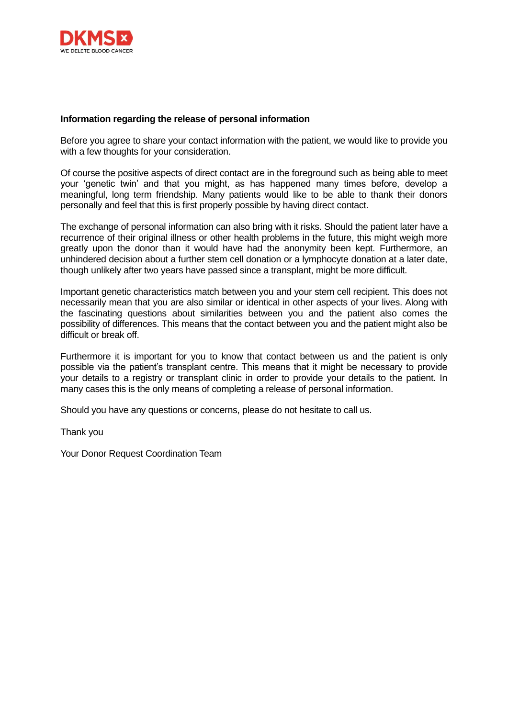

## **Information regarding the release of personal information**

Before you agree to share your contact information with the patient, we would like to provide you with a few thoughts for your consideration.

Of course the positive aspects of direct contact are in the foreground such as being able to meet your 'genetic twin' and that you might, as has happened many times before, develop a meaningful, long term friendship. Many patients would like to be able to thank their donors personally and feel that this is first properly possible by having direct contact.

The exchange of personal information can also bring with it risks. Should the patient later have a recurrence of their original illness or other health problems in the future, this might weigh more greatly upon the donor than it would have had the anonymity been kept. Furthermore, an unhindered decision about a further stem cell donation or a lymphocyte donation at a later date, though unlikely after two years have passed since a transplant, might be more difficult.

Important genetic characteristics match between you and your stem cell recipient. This does not necessarily mean that you are also similar or identical in other aspects of your lives. Along with the fascinating questions about similarities between you and the patient also comes the possibility of differences. This means that the contact between you and the patient might also be difficult or break off.

Furthermore it is important for you to know that contact between us and the patient is only possible via the patient's transplant centre. This means that it might be necessary to provide your details to a registry or transplant clinic in order to provide your details to the patient. In many cases this is the only means of completing a release of personal information.

Should you have any questions or concerns, please do not hesitate to call us.

Thank you

Your Donor Request Coordination Team